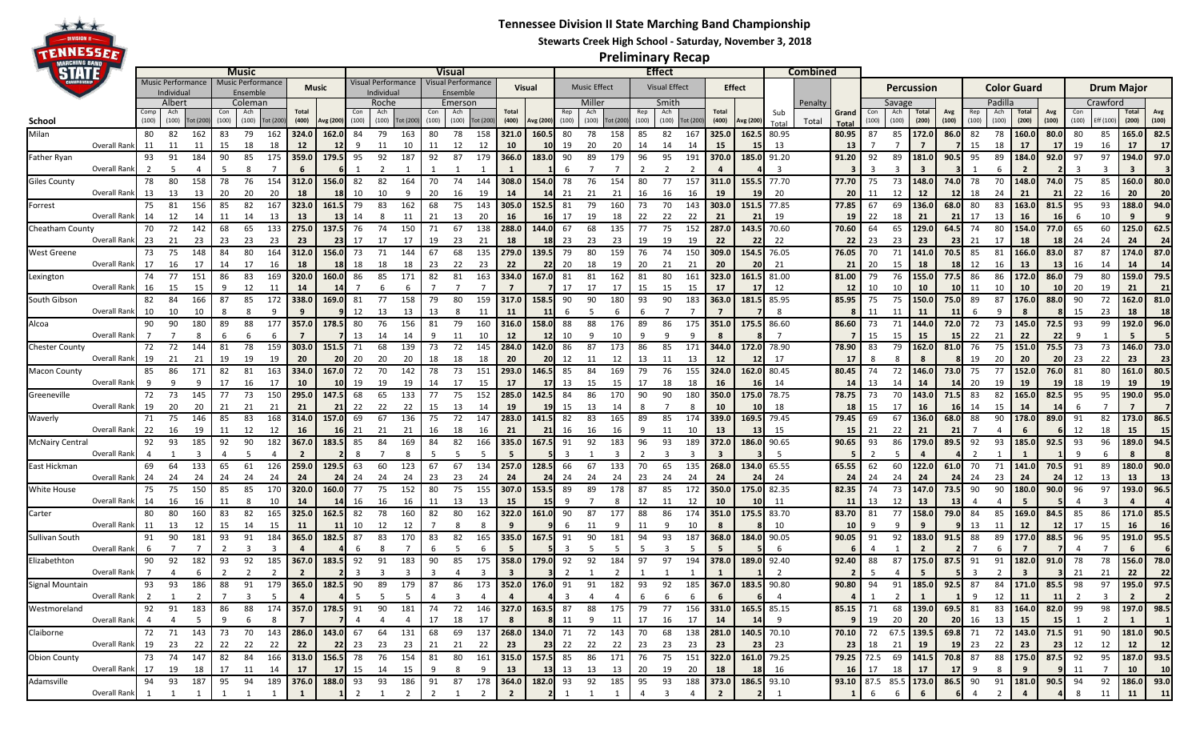## **Tennessee Division II State Marching Band Championship**



## **Stewarts Creek High School - Saturday, November 3, 2018**

**Preliminary Recap**

| STATE                  |                                   |                          | <b>Music</b> |         |          |                   |          |                                                                                                       | Visual          |         |                    |          |       |                         |           |        | <b>Effect</b> |       |                     |                                                             |                      |       |                |                |               | Combined   |        |            |                                                            |            |                |         |             |                |                |          |                   |                         |               |                |  |  |  |
|------------------------|-----------------------------------|--------------------------|--------------|---------|----------|-------------------|----------|-------------------------------------------------------------------------------------------------------|-----------------|---------|--------------------|----------|-------|-------------------------|-----------|--------|---------------|-------|---------------------|-------------------------------------------------------------|----------------------|-------|----------------|----------------|---------------|------------|--------|------------|------------------------------------------------------------|------------|----------------|---------|-------------|----------------|----------------|----------|-------------------|-------------------------|---------------|----------------|--|--|--|
|                        |                                   | <b>Music Performance</b> |              |         |          | Music Performance |          | Music                                                                                                 |                 |         | /isual Performance |          |       | /isual Performance      |           |        | Visual        |       | <b>Music Effect</b> |                                                             | <b>Visual Effect</b> |       |                |                | <b>Effect</b> |            |        |            | Percussion                                                 |            |                |         |             |                | Color Guard    |          | <b>Drum Major</b> |                         |               |                |  |  |  |
|                        | Individua                         |                          |              |         | Ensemble |                   |          |                                                                                                       | ndividua        |         |                    | Ensemble |       |                         |           |        |               |       |                     | Smith                                                       |                      |       |                |                |               |            |        |            |                                                            |            |                |         |             |                |                | Crawford |                   |                         |               |                |  |  |  |
|                        |                                   |                          | Albert       | Coleman |          |                   |          |                                                                                                       | Roche           |         |                    | Emerson  | Total |                         |           | Miller |               |       |                     |                                                             |                      | Tota  |                | Sub            | Penalty       | Grand      | Savage |            |                                                            | Avg        |                | Padilla |             | Avg            |                |          |                   | Avg                     |               |                |  |  |  |
| School                 |                                   | (100)                    | (100)        | ot (200 | (100)    | (100)             | Fot (200 | (400)                                                                                                 | <b>Avg (200</b> | (100)   | (100)              | ot (200  | (100) | (100)                   | Tot (200) | (400)  | Avg (200)     | (100) | (100)               | Fot (20                                                     | (100)                | (100) | Fot (20)       | (400)          | Avg (200)     | Tota       | Total  | Total      | (100)                                                      | (100)      | (200)          | (100)   | (100)       | (100)          | (200)          | (100)    | (100)             | Eff (100                | (200)         | (100)          |  |  |  |
| Milan                  |                                   | 80                       | 82           | 162     | 83       | 79                | 162      | 324.0                                                                                                 | 162.0           | 84      | 79                 | 163      | 80    | 78                      | 158       | 321.0  | 160.5         | 80    | 78                  | 158                                                         | 85                   | 82    | 167            | 325.0          | 162.5         | 80.95      |        | 80.95      | 87                                                         | 85         | 172.0          | 86.0    | 82          | 78             | 160.0          | 80.0     | 80                | 85                      | 165.0         | 82.5           |  |  |  |
|                        | Overall Rank                      | 11                       | -11          | 11      |          | 18                | 18       | 12                                                                                                    | 12 <sub>l</sub> |         | 11                 |          |       | 12                      | 12        | 10     |               | 19    | 20                  | 20                                                          |                      | 14    | 14             | 15             | 15            | 13         |        | - 13       |                                                            |            | $\overline{7}$ |         | 15          | 18             | 17             |          | 19                | 16                      | 17            | 17             |  |  |  |
| <b>Father Ryan</b>     |                                   | 93                       | 91           |         |          | 85                |          | 359.0                                                                                                 | 179.5           | 95      | 92                 | 187      |       | 87                      | 179       | 366.0  | 183.0         | 90    | 89                  | 179                                                         |                      | 95    | 191            | 370.0          | 185.0         | 91.20      |        | 91.20      | 92                                                         | 89         | 181.0          | 90.5    | 95          | 89             | 184.0          | 92.0     | 97                | 97                      | 194.0         | 97.0           |  |  |  |
|                        | Overall Rank                      |                          |              |         |          |                   |          | 6                                                                                                     |                 |         |                    |          |       |                         |           |        |               |       |                     |                                                             |                      |       |                |                |               | 3          |        |            |                                                            |            | -3             |         |             | 6              |                |          |                   |                         |               |                |  |  |  |
|                        |                                   |                          | 80           | 158     |          | 76                | 154      |                                                                                                       |                 |         | 82                 | 164      |       | 74                      | 144       | 308.0  |               | 78    |                     |                                                             |                      | 77    |                |                | 155.5         | 77.70      |        | 77.70      |                                                            | 73         | 148.0          | 74.0    |             |                | 148.0          |          |                   |                         | 160.0         | 80.0           |  |  |  |
| <b>Giles County</b>    |                                   | 78                       |              |         |          |                   |          | 312.0                                                                                                 | 156.0           | 82      |                    |          |       |                         |           |        | 154.0         |       |                     | 154                                                         |                      |       | 157            | 311.0          |               |            |        |            | 75                                                         |            |                |         | 78          | 70             |                | 74.0     | -75               | 85                      |               |                |  |  |  |
|                        | Overall Rank                      | -13                      | 13           | 13      |          | 20                | 20       | 18                                                                                                    |                 |         |                    |          | 20    | 16                      |           |        |               | 21    |                     | 21                                                          |                      |       |                | 19             |               | 20         |        | -20        | 11                                                         |            | 12             |         | 18          | 24             | 21             |          |                   | 16                      | 20            | 20             |  |  |  |
| Forrest                |                                   | 75                       | 81           | 156     | 85       | 82                | 167      | 323.0                                                                                                 | 161.5           | 79      | 83                 | 162      | 68    | 75                      | 143       | 305.0  | 152.5         | 81    |                     | 160                                                         | 73                   | 70    | 143            | 303.0          | 151.5         | 77.85      |        | 77.85      | 67                                                         | 69         | 136.0          | 68.0    | 80          | 83             | 163.0          | 81.5     | 95                | 93                      | 188.0         | 94.0           |  |  |  |
|                        | Overall Rank                      | 14                       | 12           | 14      |          | 14                | 13       | -13                                                                                                   |                 |         |                    | 11       | 21    | 13                      | 20        | 16     |               | 17    |                     | 18                                                          |                      | 22    | 22             | 21             | 21            | 19         |        | - 19       | 22                                                         |            | 21             | 21      | 17          | 13             | 16             |          |                   | 10                      |               |                |  |  |  |
| Cheatham County        |                                   | 70                       | 72           | 142     |          | 65                | 133      | 275.0                                                                                                 | 137.5           | 76      | 74                 | 150      | 71    | 67                      | 138       | 288.0  | 144.0         | 67    | 68                  | 135                                                         |                      | 75    | 152            | 287.0          | 143.5         | 70.60      |        | 70.60      | 64                                                         | 65         | 129.0          | 64.5    | 74          | 80             | 154.0          | 77.0     | 65                | 60                      | 125.0         | 62.5           |  |  |  |
|                        | Overall Rank                      | -23                      | 21           | 23      | 23       | 23                | 23       | 23                                                                                                    | 231             | 17      | 17                 | 17       | 19    | 23                      | 21        | 18     |               | 23    | 23                  | 23                                                          | 19                   | 19    | 19             | 22             |               | 22         |        | -22        | 23                                                         | 23         | 23             | 23      | 21          | 17             | 18             |          | 24                | 24                      | 24            | 24             |  |  |  |
| West Greene            |                                   | 73                       | 75           | 148     |          | 80                | 164      | 312.0                                                                                                 | 156.0           |         |                    | 144      |       | 68                      | 135       | 279.0  |               |       |                     | 159                                                         |                      |       | 150            | 309.0          | 154.5         | 76.05      |        | 76.05      | 70                                                         | 71         | 141.0          | 70.5    |             | 81             | 166.0          | 83.0     | 87                | 87                      | 174.0         | 87.0           |  |  |  |
|                        | Overall Rank                      | 17                       | 16           |         |          |                   | 16       | 18                                                                                                    |                 |         |                    |          | 23    | 22                      | 23        | 22     |               | 20    |                     | 19                                                          | 20                   | -21   | 21             | 20             |               | 21         |        | 21         | 20                                                         | 15         | 18             |         | 12          | 16             |                |          |                   |                         |               | -14            |  |  |  |
| Lexington              |                                   | -74                      | 77           | 151     | 86       | 83                | 169      | 320.0                                                                                                 | 160.0           | 86      | 85                 | 171      | 82    | 81                      | 163       | 334.0  | 167.0         | 81    |                     | 162                                                         | 81                   | 80    | 161            | 323.0          | 161.5         | 81.00      |        | 81.00      | 79                                                         | 76         | 155.0          | 77.5    | 86          | 86             | 172.0          | 86.0     | 79                | 80                      | 159.0         | 79.5           |  |  |  |
|                        | Overall Rank                      | 16                       | 15           | 15      | q        | 12                | -11      | -14                                                                                                   |                 |         |                    |          |       |                         |           |        |               | 17    |                     | 17                                                          | 15                   | 15    | 15             | 17             |               | 12         |        | - 12       | 10                                                         | 10         | 10             | 10      | 11          | 10             | 10             |          | - 20              | 19                      | 21            | 21             |  |  |  |
| South Gibson           |                                   | 82                       |              | 166     |          | 85                |          | 338.0                                                                                                 | 169.0           | 81      |                    | 158      | 79    | 80                      | 159       | 317.0  |               | 90    |                     | 180                                                         | 93                   | 90    | 183            | 363.0          | 181.5         | 85.95      |        | 85.95      | 75                                                         | 75         | 150.0          | 75.0    | 89          | 87             | 176.0          | 88.0     | 90                | 72                      | 162.0         | 81.0           |  |  |  |
|                        | Overall Rank                      | 10                       |              |         |          |                   |          |                                                                                                       |                 |         |                    | 13       |       |                         |           | 11     |               |       |                     |                                                             |                      |       |                |                |               |            |        |            | 11                                                         |            | <b>11</b>      |         |             |                |                |          |                   | 23                      | 18            | -18            |  |  |  |
|                        |                                   |                          | 90           | 180     |          | 88                | 177      | 357.0                                                                                                 | 178.5           | 80      | 76                 | 156      |       | 79                      | 160       | 316.0  | 158.0         | 88    |                     |                                                             |                      | 86    | 175            | 351.0          | 175.5         | 86.60      |        | 86.60      | 73                                                         | 71         | 144.0          | 72.0    | 72          | 73             | 145.0          |          | 93                | 99                      | 192.0         | 96.0           |  |  |  |
| Alcoa                  |                                   | 90                       |              |         |          |                   |          |                                                                                                       |                 |         |                    |          |       |                         |           |        |               |       |                     | 176                                                         | 89                   |       |                |                |               |            |        |            |                                                            |            |                |         |             |                |                | 72.5     |                   |                         |               |                |  |  |  |
|                        | Overall Rank                      |                          |              |         |          |                   |          |                                                                                                       |                 | 13      | 14                 |          |       | 11                      | 10        | 12     |               |       |                     | 10                                                          |                      |       |                |                |               |            |        |            | 15                                                         |            | 15             |         | 22          | 21             | 22             |          |                   |                         |               |                |  |  |  |
| Chester County         |                                   | 72                       | 72           | 144     | 81       | 78                | 159      | 303.0                                                                                                 | 151.5           | -71     | 68                 | 139      | 73    | 72                      | 145       | 284.0  | 142.0         | 86    | 87                  | 173                                                         | 86                   | 85    | 171            | 344.0          | 172.0         | 78.90      |        | 78.90      | 83                                                         | 79         | 162.0          | 81.0    | 76          | 75             | 151.0          | 75.5I    | - 73              | 73                      | 146.0         | 73.0           |  |  |  |
|                        | Overall Rank                      | 19                       | -21          | 21      | 19       | 19                | 19       | 20                                                                                                    | <b>20</b>       | -20     | 20                 | 20       | 18    | 18                      | 18        | -20    |               | 12    |                     | 12                                                          | 13                   | -11   | 13             | 12             |               | 17         |        | -17        |                                                            |            | -8             |         | 19          | 20             | 20             |          | -23               | 22                      | 23            | 23             |  |  |  |
| <b>Macon County</b>    |                                   | 85                       | 86           |         |          | 81                | 163      | 334.0                                                                                                 | 167.0           | 72      | 70                 | 142      |       | 73                      | 151       | 293.0  | 146.5         | 85    |                     | 169                                                         | 79                   | 76    | 155            | 324.0          | 162.0         | 80.45      |        | 80.45      | 74                                                         | 72         | 146.0          | 73.0    | 75          | 77             | 152.0          |          | 81                | 80                      | 161.0         | 80.5           |  |  |  |
|                        | Overall Rank                      |                          |              |         |          |                   | 17       | 10                                                                                                    |                 | 19      | 19                 | 19       | 14    | 17                      | 15        | 17     |               | 13    |                     | 15                                                          |                      | 18    | 18             | 16             |               | 14         |        | - 14       | 13                                                         |            | 14             |         | 20          | 19             | 19             |          | 18                | 19                      | 19            | -19            |  |  |  |
| Greeneville            |                                   | 72                       | 73           | 145     |          | 73                | 150      | 295.0                                                                                                 | 147.5           | 68      | 65                 | 133      |       | 75                      | 152       | 285.0  | 142.5         | 84    |                     | 170                                                         |                      | 90    | 180            | 350.0          | 175.0         | 78.75      |        | 78.75      | 73                                                         | 70         | 143.0          | 71.5    | 83          | 82             | 165.0          | 82.5     | 95                | 95                      | 190.0         | 95.0           |  |  |  |
|                        | Overall Rank                      | 19                       | 20           | 20      | 21       | 21                | 21       | 21                                                                                                    |                 | 22      | 22                 | 22       | 15    | 13                      | -14       | -19    |               | 15    | 13                  | 14                                                          |                      |       |                | 10             |               | 18         |        |            | 15                                                         | 17         | 16             |         | 14          | 15             | 14             |          |                   |                         |               |                |  |  |  |
| Waverly                |                                   | 71                       | 75           | 146     | -85      | 83                | 168      | 314.0                                                                                                 | 157.0           | 69      | 67                 | 136      | 75    | 72                      | 147       | 283.0  | 141.5         | 82    | 83                  | 165                                                         | 89                   | 85    | 174            | 339.0          | 169.5         | 79.45      |        | 79.45      | 69                                                         | 67         | 136.0          | 68.0    | 88          | 90             | 178.0          | 89.0     | 91                | 82                      | 173.0         | 86.5           |  |  |  |
|                        | Overall Rank                      | 22                       | 16           | 19      |          |                   | 12       | 16                                                                                                    |                 | 21      | 21                 | 21       | 16    | 18                      | 16        | 21     |               | 16    |                     | 16                                                          |                      | -11   | 10             | 13             |               | 15         |        | -15        | 21                                                         | 22         | 21             | 21      |             |                |                |          |                   | 18                      | 15            | 15             |  |  |  |
| <b>McNairy Central</b> |                                   | 92                       | 93           | 185     |          | 90                |          | 367.0                                                                                                 | 183.5           | 85      | 84                 | 169      |       | 82                      | 166       | 335.0  | 167.5         | 91    | 92                  | 183                                                         | 96                   | 93    | 189            | 372.0          | 186.0         | 90.65      |        | 90.65      | 93                                                         | 86         | 179.0          | 89.5    | 92          | 93             | 185.0          |          | 93                | 96                      | 189.0         | 94.5           |  |  |  |
|                        | Overall Rank                      |                          |              |         |          |                   |          |                                                                                                       |                 |         |                    |          |       |                         |           |        |               |       |                     |                                                             |                      |       |                |                |               |            |        |            |                                                            |            |                |         |             |                |                |          |                   |                         |               |                |  |  |  |
|                        |                                   | 69                       | 64           | 133     | 65       | 61                |          | 259.0                                                                                                 | 129.5           | 63      | 60                 |          |       | 67                      | 134       | 257.0  |               |       | 67                  | 133                                                         | 70                   | 65    | 135            | 268.0          | 134.0         | 65.55      |        | 65.55      |                                                            | 60         | 122.0          | 61.0    | 70          | 71             | 141.0          |          | 91                | 89                      | 180.0         | 90.0           |  |  |  |
| East Hickman           |                                   |                          |              |         |          |                   | 126      |                                                                                                       |                 |         |                    | 123      |       |                         |           |        |               | 66    |                     |                                                             |                      |       |                |                |               |            |        |            | 62                                                         |            |                |         |             |                |                |          |                   |                         |               |                |  |  |  |
|                        | Overall Rank                      | - 24                     | 24           | 24      | 24       | 24                | 24       | 24                                                                                                    |                 | 24      | 24                 | 24       | 23    | 23                      | -24       | 24     |               | 24    | 24                  | 24                                                          | 23                   | 24    | 24             | 24             |               | 24         |        | -24        | 24                                                         | -24        | 24             | -24     | 24          | 23             | 24             |          | 12                | 13                      | 13            | 13             |  |  |  |
| White House            |                                   | 75                       | 75           | 150     | 85       | 85                | 170      | 320.0                                                                                                 | 160.0           | 77      | 75                 | 152      | 80    | 75                      | 155       | 307.0  | 153.5         | 89    | 89                  | 178                                                         | 87                   | 85    | 172            | 350.0          | 175.0         | 82.35      |        | 82.35      | 74                                                         | 73         | 147.0          | 73.5    | 90          | 90             | 180.0          | 90.0     | -96               | 97                      | 193.0         | 96.5           |  |  |  |
|                        | Overall Rank                      | 14                       | 16           | 16      |          |                   | 10       | -14                                                                                                   |                 | 16      | 16                 | 16       | 11    | 13                      | 13        | 15     |               |       |                     |                                                             | 12                   | -11   | 12             | 10             |               | 11         |        | -11        | 13                                                         | 12         | 13             |         |             |                |                |          |                   |                         |               |                |  |  |  |
| Carter                 |                                   | 80                       | 80           | 160     | 83       | 82                |          | 325.0                                                                                                 | 162.5           | 82      | 78                 | 160      |       | 80                      | 162       | 322.0  | 161.0         | 90    | 87                  | 177                                                         | 88                   | 86    | 174            | 351.0          | 175.5         | 83.70      |        | 83.70      | 81                                                         | 77         | 158.           | 79.0    | 84          | 85             | 169.0          |          | 85                | 86                      | 171.0         | 85.5           |  |  |  |
|                        | Overall Rank                      | -11                      | 13           |         |          | 14                | 15       |                                                                                                       |                 |         |                    |          |       |                         |           |        |               |       |                     |                                                             |                      |       | 10             |                |               | 10         |        | - 10       |                                                            |            | ٩              |         | 13          | 11             |                |          |                   | 15                      | 16            | -16            |  |  |  |
| Sullivan South         |                                   | 91                       | 90           | 181     | 93       | 91                | 184      | 365.0                                                                                                 | 182.5           | 87      |                    | 170      |       | 82                      | 165       | 335.0  | 167.          | 91    |                     | 181                                                         | 94                   | 93    | 187            | 368.0          | 184.0         | 90.05      |        | 90.05      | 91                                                         | 92         | 183.0          | 91.5    | 88          | 89             | 177.0          | 88.5     | 96                | 95                      | 191.0         | 95.5           |  |  |  |
|                        | Overall Rank                      |                          |              |         |          |                   |          |                                                                                                       |                 |         |                    |          |       |                         |           |        |               |       |                     |                                                             |                      |       |                |                |               |            |        |            |                                                            |            | $\overline{2}$ |         |             |                |                |          |                   |                         |               |                |  |  |  |
| Elizabethton           |                                   | 90                       | 92           | 182     | 93       | 92                | 185      | 367.0                                                                                                 | 183.5           | 92      | 91                 | 183      | 90    | 85                      | 175       | 358.0  | 179.0         | 92    | 92                  | 184                                                         | 97                   | 97    | 194            | 378.0          | 189.0         | 92.40      |        | 92.40      | 88                                                         | 87         | 175.0          | 87.5    | 91          | 91             | 182.0          | 91.0     | -78               | 78                      | 156.0         | 78.0           |  |  |  |
|                        | Overall Rank                      |                          |              |         |          |                   |          |                                                                                                       |                 |         |                    |          |       |                         |           |        |               |       |                     |                                                             |                      |       |                |                |               |            |        |            |                                                            |            |                |         |             |                |                |          |                   |                         | 22            | 22             |  |  |  |
| Signal Mountain        |                                   | 93                       | 93           |         |          | 91                | 179      | 365.0                                                                                                 | 182.5           | 90      |                    | 179      |       | 86                      | 173       | 352.0  | 176.01        | 91    |                     | 182                                                         | 93                   | 92    | 185            | 367.0          | 183.5         | 90.80      |        | 90.80      | 94                                                         | 91         | 185.0          | 92.5    | 87          | 84             | 171.0          |          | 98                | 97                      | 195.0         | 97.5           |  |  |  |
|                        | Overall Rank                      |                          |              |         |          |                   |          |                                                                                                       |                 |         |                    |          |       |                         |           |        |               |       |                     |                                                             |                      |       |                |                |               |            |        |            |                                                            |            |                |         |             | 12             |                |          |                   |                         |               |                |  |  |  |
|                        |                                   |                          |              |         |          |                   |          |                                                                                                       |                 |         |                    |          |       |                         |           |        |               |       |                     |                                                             |                      |       |                |                |               |            |        |            |                                                            |            |                |         |             |                |                |          |                   |                         |               |                |  |  |  |
| Westmoreland           |                                   |                          |              |         |          |                   |          | 92 91 183 86 88 174 357.0 178.5 91 90 181 74 72 146 327.0 163.5 87 88 175 79 77 156 331.0 165.5 85.15 |                 |         |                    |          |       |                         |           |        |               |       |                     |                                                             |                      |       |                |                |               |            |        |            | 85.15 71 68 139.0 69.5 81 83 164.0 82.0 99 98 197.0 98.5   |            |                |         |             |                |                |          |                   |                         |               |                |  |  |  |
|                        | Overall Rank 4 4 5 9 6 8 7        |                          |              |         |          |                   |          |                                                                                                       |                 | 7 4 4 4 |                    |          |       | 17 18 17 8              |           |        |               |       |                     | 8 11 9 11 17 16 17 14                                       |                      |       |                |                |               | 14 9       |        |            | 9 19 20 20                                                 |            |                |         | 20 16 13 15 |                |                |          | $15 \quad 1$      | $\overline{\mathbf{2}}$ | $\mathbf{1}$  | $\blacksquare$ |  |  |  |
| Claiborne              |                                   |                          |              |         |          |                   |          | 72 71 143 73 70 143 286.0 143.0 67 64 131 68 69 137 268.0 134.0 71 72 143 70 68 138 281.0 140.5 70.10 |                 |         |                    |          |       |                         |           |        |               |       |                     |                                                             |                      |       |                |                |               |            |        |            | 70.10 72 67.5 139.5 69.8 71 72 143.0 71.5 91 90 181.0 90.5 |            |                |         |             |                |                |          |                   |                         |               |                |  |  |  |
|                        | Overall Rank 19 23 22 22 22 22 22 |                          |              |         |          |                   |          |                                                                                                       |                 |         |                    |          |       | 22 23 23 23 21 21 22 23 |           |        |               |       |                     | 23 22 22 22 23 23 23 23                                     |                      |       |                |                |               | 23 23      |        |            | 23 18 21 19                                                |            |                |         | 19 23 22 23 |                |                |          | 23 12             | 12                      |               | 12 12          |  |  |  |
| <b>Obion County</b>    |                                   |                          |              |         |          |                   |          | 73 74 147 82 84 166 313.0 156.5 78 76 154 81 80 161 315.0 157.5 85 86 171 76 75 151 322.0             |                 |         |                    |          |       |                         |           |        |               |       |                     |                                                             |                      |       |                |                | 161.0 79.25   |            |        |            | 79.25 72.5 69 141.5 70.8 87 88 175.0 87.5 92               |            |                |         |             |                |                |          |                   |                         | 95 187.0 93.5 |                |  |  |  |
|                        | Overall Rank 17 19 18 17 11 14 17 |                          |              |         |          |                   |          |                                                                                                       |                 |         |                    |          |       | 17 15 14 15 9 8 9 13    |           |        |               |       |                     | 13 13 13 13 20 19 20 18                                     |                      |       |                |                |               | 18 16      |        |            | 16 17 18 17                                                |            |                | 17      | 9           | 8 <sup>1</sup> | 9              |          | 9 11              | $7\overline{ }$         | 10            | 10             |  |  |  |
| Adamsville             |                                   |                          |              |         |          |                   |          | 94 93 187 95 94 189 376.0 188.0 93 93 186 91 87 178 364.0 182.0 93 92 185 95 93 188 373.0 186.5 93.10 |                 |         |                    |          |       |                         |           |        |               |       |                     |                                                             |                      |       |                |                |               |            |        |            | 93.10 87.5 85.5 173.0 86.5 90 91 181.0 90.5 94             |            |                |         |             |                |                |          |                   |                         | 92 186.0 93.0 |                |  |  |  |
|                        | Overall Rank 1 1 1 1 1 1 1 1 1 1  |                          |              |         |          |                   |          |                                                                                                       |                 |         |                    |          |       | 1 2 1 2 2 1 2 2         |           |        |               |       |                     | $\begin{array}{ccccccccc}\n & & 2 & 1 & 1 & 1\n\end{array}$ | $4 \qquad 3$         |       | $\overline{4}$ | $\overline{2}$ |               | $2 \mid 1$ |        | $1 \mid 6$ |                                                            | $6 \mid 6$ |                |         | $6 \quad 4$ | $\overline{2}$ | $\overline{4}$ |          | 4 8               |                         | $11$ 11 11    |                |  |  |  |
|                        |                                   |                          |              |         |          |                   |          |                                                                                                       |                 |         |                    |          |       |                         |           |        |               |       |                     |                                                             |                      |       |                |                |               |            |        |            |                                                            |            |                |         |             |                |                |          |                   |                         |               |                |  |  |  |